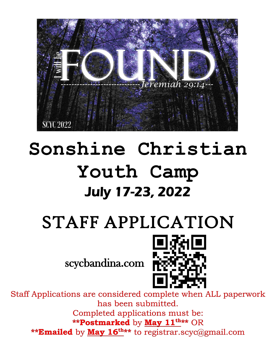

# **Sonshine Christian Youth Camp** July 17-23, 2022

# STAFF APPLICATION

scycbandina.com



Staff Applications are considered complete when ALL paperwork has been submitted. Completed applications must be: **\*\*Postmarked** by **May 11th\*\*** OR **\*\*Emailed** by **May 16th\*\*** to registrar.scyc@gmail.com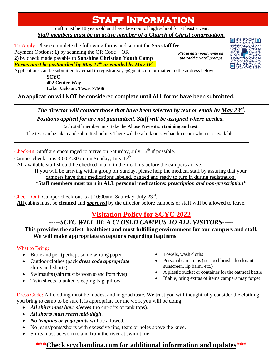# **Staff Information**

Staff must be 18 years old and have been out of high school for at least a year. *Staff members must be an active member of a Church of Christ congregation.*

To Apply: Please complete the following forms and submit the **\$55 staff fee**. Payment Options: **1)** by scanning the QR Code – OR – **2)** by check made payable to **Sonshine Christian Youth Camp** *Forms must be postmarked by May 11th or emailed by May 16th .*

*Please enter your name on the "Add a Note" prompt*



Applications can be submitted by email to registrar.scyc@gmail.com or mailed to the address below.

**SCYC 402 Center Way Lake Jackson, Texas 77566**

**An application will NOT be considered complete until ALL forms have been submitted.**

### *The director will contact those that have been selected by text or email by May 23rd* **.** *Positions applied for are not guaranteed. Staff will be assigned where needed.*

Each staff member must take the Abuse Prevention **training and test**.

The test can be taken and submitted online. There will be a link on scycbandina.com when it is available.

Check-In: Staff are encouraged to arrive on Saturday, July  $16<sup>th</sup>$  if possible.

Camper check-in is  $3:00-4:30$ pm on Sunday, July  $17<sup>th</sup>$ .

All available staff should be checked in and in their cabins before the campers arrive.

If you will be arriving with a group on Sunday, please help the medical staff by assuring that your campers have their medications labeled, bagged and ready to turn in during registration.

**\*Staff members must turn in ALL personal medications:** *prescription and non-prescription***\***

Check- Out: Camper check-out is at 10:00am, Saturday, July 23rd. **All** cabins must be **cleaned** and *approved* by the director before campers or staff will be allowed to leave.

## **Visitation Policy for SCYC 2022**

### *-----SCYC WILL BE A CLOSED CAMPUS TO ALL VISITORS-----*

**This provides the safest, healthiest and most fulfilling environment for our campers and staff. We will make appropriate exceptions regarding baptisms.**

#### What to Bring:

- Bible and pen (perhaps some writing paper)
- Outdoor clothes(pack *dress code appropriate* shirts and shorts)
- Swimsuits (shirt must be worn to and from river)
- Twin sheets, blanket, sleeping bag, pillow
- Towels, wash cloths
- Personal care items (i.e. toothbrush, deodorant, sunscreen, lip balm, etc.)
- A plastic bucket or container for the oatmeal battle
- If able, bring extras of items campers may forget

Dress Code: All clothing must be modest and in good taste. We trust you will thoughtfully consider the clothing you bring to camp to be sure it is appropriate for the work you will be doing.

- *All shirts must have sleeves* (no cut-offs or tank tops).
- *All shorts must reach mid-thigh*.
- *No leggings or yoga pants* will be allowed.
- No jeans/pants/shorts with excessive rips, tears or holes above the knee.
- Shirts must be worn to and from the river at swim time.

### **\*\*\*Check scycbandina.com for additional information and updates\*\*\***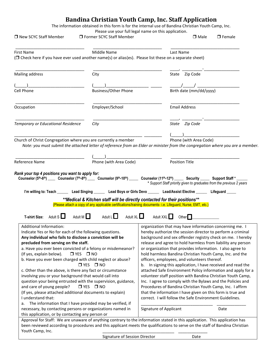#### **Bandina Christian Youth Camp, Inc. Staff Application**

The information obtained in this form is for the internal use of Bandina Christian Youth Camp, Inc.

| □ New SCYC Staff Member                                                                                                                                                                                                                                                                                                                                                                                                                                                                                                                                                                                                                                                    | □ Former SCYC Staff Member             | Please use your full legal name on this application.<br>$\Box$ Male<br>$\Box$ Female                                                                                                                                                                                                                                                                                                                                                                                                                                                                                                                                                                                                                                                                                                                                                                                                  |  |
|----------------------------------------------------------------------------------------------------------------------------------------------------------------------------------------------------------------------------------------------------------------------------------------------------------------------------------------------------------------------------------------------------------------------------------------------------------------------------------------------------------------------------------------------------------------------------------------------------------------------------------------------------------------------------|----------------------------------------|---------------------------------------------------------------------------------------------------------------------------------------------------------------------------------------------------------------------------------------------------------------------------------------------------------------------------------------------------------------------------------------------------------------------------------------------------------------------------------------------------------------------------------------------------------------------------------------------------------------------------------------------------------------------------------------------------------------------------------------------------------------------------------------------------------------------------------------------------------------------------------------|--|
| First Name<br>(□ Check here if you have ever used another name(s) or alias(es). Please list these on a separate sheet)                                                                                                                                                                                                                                                                                                                                                                                                                                                                                                                                                     | Middle Name                            | Last Name                                                                                                                                                                                                                                                                                                                                                                                                                                                                                                                                                                                                                                                                                                                                                                                                                                                                             |  |
| Mailing address                                                                                                                                                                                                                                                                                                                                                                                                                                                                                                                                                                                                                                                            | City                                   | State Zip Code                                                                                                                                                                                                                                                                                                                                                                                                                                                                                                                                                                                                                                                                                                                                                                                                                                                                        |  |
|                                                                                                                                                                                                                                                                                                                                                                                                                                                                                                                                                                                                                                                                            |                                        |                                                                                                                                                                                                                                                                                                                                                                                                                                                                                                                                                                                                                                                                                                                                                                                                                                                                                       |  |
| Cell Phone                                                                                                                                                                                                                                                                                                                                                                                                                                                                                                                                                                                                                                                                 | <b>Business/Other Phone</b>            | $\frac{1}{\text{Birth date (mm/dd/yyyy)}}$                                                                                                                                                                                                                                                                                                                                                                                                                                                                                                                                                                                                                                                                                                                                                                                                                                            |  |
| Occupation                                                                                                                                                                                                                                                                                                                                                                                                                                                                                                                                                                                                                                                                 | Employer/School                        | <b>Email Address</b>                                                                                                                                                                                                                                                                                                                                                                                                                                                                                                                                                                                                                                                                                                                                                                                                                                                                  |  |
| <b>Temporary or Educational Residence</b>                                                                                                                                                                                                                                                                                                                                                                                                                                                                                                                                                                                                                                  | City                                   | State Zip Code                                                                                                                                                                                                                                                                                                                                                                                                                                                                                                                                                                                                                                                                                                                                                                                                                                                                        |  |
|                                                                                                                                                                                                                                                                                                                                                                                                                                                                                                                                                                                                                                                                            |                                        |                                                                                                                                                                                                                                                                                                                                                                                                                                                                                                                                                                                                                                                                                                                                                                                                                                                                                       |  |
| Church of Christ Congregation where you are currently a member                                                                                                                                                                                                                                                                                                                                                                                                                                                                                                                                                                                                             |                                        | Phone (with Area Code)                                                                                                                                                                                                                                                                                                                                                                                                                                                                                                                                                                                                                                                                                                                                                                                                                                                                |  |
|                                                                                                                                                                                                                                                                                                                                                                                                                                                                                                                                                                                                                                                                            |                                        | Note: you must submit the attached letter of reference from an Elder or minister from the congregation where you are a member.                                                                                                                                                                                                                                                                                                                                                                                                                                                                                                                                                                                                                                                                                                                                                        |  |
| Reference Name<br>Rank your top 4 positions you want to apply for:                                                                                                                                                                                                                                                                                                                                                                                                                                                                                                                                                                                                         | Phone (with Area Code)                 | <b>Position Title</b><br>Counselor (5th-6th) Counselor (7th-8th) Counselor (9th-10th) Counselor (11th-12th) Security Support Staff *<br>* Support Staff priority given to graduates from the previous 2 years<br>I'm willing to: Teach _______ Lead Singing _______ Lead Boys or Girls Devo ______ Lead/Assist Elective ______ Lifeguard _____<br>** Medical & Kitchen staff will be directly contacted for their positions**                                                                                                                                                                                                                                                                                                                                                                                                                                                         |  |
|                                                                                                                                                                                                                                                                                                                                                                                                                                                                                                                                                                                                                                                                            |                                        | (Please attach a copy of any applicable certifications/training documents- i.e. Lifeguard, Nurse, EMT, etc.)                                                                                                                                                                                                                                                                                                                                                                                                                                                                                                                                                                                                                                                                                                                                                                          |  |
| Adult M $\Box$<br>Adult S $\Box$<br><b>T-shirt Size:</b>                                                                                                                                                                                                                                                                                                                                                                                                                                                                                                                                                                                                                   | Adult L $\square$                      | Adult $XL$ Adult $XXL$<br>Other $\Box$                                                                                                                                                                                                                                                                                                                                                                                                                                                                                                                                                                                                                                                                                                                                                                                                                                                |  |
| Additional Information:<br>Indicate Yes or No for each of the following questions.<br>Any individual who fails to disclose a conviction will be<br>precluded from serving on the staff.<br>a. Have you ever been convicted of a felony or misdemeanor?<br>(If yes, explain below).<br>$T$ YES $T$ NO<br>b. Have you ever been charged with child neglect or abuse?<br>c. Other than the above, is there any fact or circumstance<br>involving you or your background that would call into<br>question your being entrusted with the supervision, guidance,<br>and care of young people?<br>(If yes, please attached additional documents to explain)<br>I understand that: | $\Box$ YES $\Box$ NO<br>$T$ YES $T$ NO | organization that may have information concerning me. I<br>hereby authorize the session director to perform a criminal<br>background and sex offender registry check on me. I hereby<br>release and agree to hold harmless from liability any person<br>or organization that provides information. I also agree to<br>hold harmless Bandina Christian Youth Camp, Inc. and the<br>officers, employees, and volunteers thereof.<br>In signing this application, I have received and read the<br>b.<br>attached Safe Environment Policy information and apply for a<br>volunteer staff position with Bandina Christian Youth Camp,<br>Inc. I agree to comply with the Bylaws and the Policies and<br>Procedures of Bandina Christian Youth Camp, Inc. I affirm<br>that the information I have given on this form is true and<br>correct. I will follow the Safe Environment Guidelines. |  |
| The information that I have provided may be verified, if<br>а.<br>necessary, by contacting persons or organizations named in                                                                                                                                                                                                                                                                                                                                                                                                                                                                                                                                               | Signature of Applicant<br>Date         |                                                                                                                                                                                                                                                                                                                                                                                                                                                                                                                                                                                                                                                                                                                                                                                                                                                                                       |  |
| this application, or by contacting any person or                                                                                                                                                                                                                                                                                                                                                                                                                                                                                                                                                                                                                           |                                        | Approval for Staff: We are unaware of anything contrary to the information stated in this application. This application has                                                                                                                                                                                                                                                                                                                                                                                                                                                                                                                                                                                                                                                                                                                                                           |  |

Approval for Staff: We are unaware of anything contrary to the information stated in this application. This application has been reviewed according to procedures and this applicant meets the qualifications to serve on the staff of Bandina Christian Youth Camp, Inc.

Signature of Session Director **Date**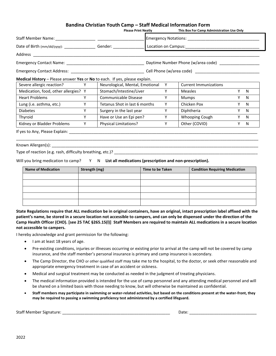#### **Bandina Christian Youth Camp – Staff Medical Information Form**

|                                                                                  |   | <b>Please Print Neatly Example 20</b> |  |   | This Box For Camp Administration Use Only |    |              |
|----------------------------------------------------------------------------------|---|---------------------------------------|--|---|-------------------------------------------|----|--------------|
|                                                                                  |   |                                       |  |   |                                           |    |              |
| Date of Birth (mm/dd/yyyy): _____________________________Gender: _______________ |   |                                       |  |   |                                           |    |              |
|                                                                                  |   |                                       |  |   |                                           |    |              |
|                                                                                  |   |                                       |  |   |                                           |    |              |
|                                                                                  |   |                                       |  |   |                                           |    |              |
| Medical History – Please answer Yes or No to each. If yes, please explain.       |   |                                       |  |   |                                           |    |              |
| Severe allergic reaction? Y                                                      |   | Neurological, Mental, Emotional       |  | Y | <b>Current Immunizations</b>              |    |              |
| Medication, food, other allergies? Y                                             |   | Stomach/Intestine/Liver               |  | Y | Measles                                   | Y. | $\mathsf{N}$ |
| <b>Heart Problems</b>                                                            | Y | Communicable Disease                  |  | Y | Mumps                                     | Y. | N            |
| Lung (i.e. asthma, etc.)                                                         | Y | Tetanus Shot in last 6 months         |  | Υ | Chicken Pox                               | Y. | $\mathsf{N}$ |
| <b>Diabetes</b>                                                                  | Y | Surgery in the last year              |  | Y | Diphtheria                                | Y. | - N          |
| Thyroid                                                                          | Y | Have or Use an Epi pen?               |  | Y | Whooping Cough                            | Y. | N.           |
| Kidney or Bladder Problems                                                       | Y | Physical Limitations?                 |  | Y | Other (COVID)                             | Y. | N.           |

#### Known Allergen(s): \_\_\_\_\_\_\_\_\_\_\_\_\_\_\_\_\_\_\_\_\_\_\_\_\_\_\_\_\_\_\_\_\_\_\_\_\_\_\_\_\_\_\_\_\_\_\_\_\_\_\_\_\_\_\_\_\_\_\_\_\_\_\_\_\_\_\_\_\_\_\_\_\_\_\_\_\_\_\_\_\_\_\_\_\_\_\_\_\_\_\_\_

Type of reaction (e.g. rash, difficulty breathing, etc.)? \_\_\_\_\_\_\_\_\_\_\_\_\_\_\_\_\_\_\_\_\_\_

Will you bring medication to camp? Y N List all medications (prescription and non-prescription).

| <b>Name of Medication</b> | Strength (mg) | Time to be Taken | <b>Condition Requiring Medication</b> |
|---------------------------|---------------|------------------|---------------------------------------|
|                           |               |                  |                                       |
|                           |               |                  |                                       |
|                           |               |                  |                                       |
|                           |               |                  |                                       |
|                           |               |                  |                                       |

\_\_\_\_\_\_\_\_\_\_\_\_\_\_\_\_\_\_\_\_\_\_\_\_\_\_\_\_\_\_\_\_\_\_\_\_\_\_\_\_\_\_\_\_\_\_\_\_\_\_\_\_\_\_\_\_\_\_\_\_\_\_\_\_\_\_\_\_\_\_\_\_\_\_\_\_\_\_\_\_\_\_\_\_\_\_\_\_\_\_\_\_\_\_\_\_\_\_\_\_\_\_\_\_\_\_\_\_

**State Regulations require that ALL medication be in original containers, have an original, intact prescription label affixed with the patient's name, be stored in a secure location not accessible to campers, and can only be dispensed under the direction of the Camp Health Officer (CHO). [see 25 TAC §265.15(l)] Staff Members are required to maintain ALL medications in a secure location not accessible to campers.**

I hereby acknowledge and grant permission for the following:

- I am at least 18 years of age.
- Pre-existing conditions, injuries or illnesses occurring or existing prior to arrival at the camp will not be covered by camp insurance, and the staff member's personal insurance is primary and camp insurance is secondary.
- The Camp Director, the CHO or other qualified staff may take me to the hospital, to the doctor, or seek other reasonable and appropriate emergency treatment in case of an accident or sickness.
- Medical and surgical treatment may be conducted as needed in the judgment of treating physicians.
- The medical information provided is intended for the use of camp personnel and any attending medical personnel and will be shared on a limited basis with those needing to know, but will otherwise be maintained as confidential.
- **Staff members may participate in swimming or water-related activities, but based on the conditions present at the water-front, they may be required to passing a swimming proficiency test administered by a certified lifeguard.**

Staff Member Signature: \_\_\_\_\_\_\_\_\_\_\_\_\_\_\_\_\_\_\_\_\_\_\_\_\_\_\_\_\_\_\_\_\_\_\_\_\_\_\_\_\_\_\_\_\_\_\_\_ Date: \_\_\_\_\_\_\_\_\_\_\_\_\_\_\_\_\_\_\_\_\_\_\_\_\_\_\_\_\_\_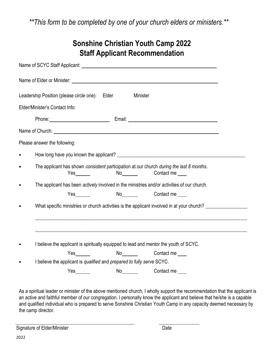*\*\*This form to be completed by one of your church elders or ministers.\*\**

|           | Leadership Position (please circle one): Elder<br>Minister                                                                       |
|-----------|----------------------------------------------------------------------------------------------------------------------------------|
|           | Elder/Minister's Contact Info:                                                                                                   |
|           |                                                                                                                                  |
|           | Name of Church: <u>Name of Church:</u> Name of Church: Name of Church: Name of Church: Name of Church: Name of Church            |
|           | Please answer the following:                                                                                                     |
| $\bullet$ |                                                                                                                                  |
| $\bullet$ | The applicant has shown consistent participation at our church during the last 8 months.<br>No <sub>______</sub> Contact me ____ |
|           | The applicant has been actively involved in the ministries and/or activities of our church.                                      |
|           | No <sub>_______</sub> Contact me ____                                                                                            |
|           | What specific ministries or church activities is the applicant involved in at your church?                                       |
|           |                                                                                                                                  |
|           | I believe the applicant is spiritually equipped to lead and mentor the youth of SCYC.                                            |
|           | No<br>Yes $\frac{1}{\sqrt{1-\frac{1}{2}}\sqrt{1-\frac{1}{2}}\left(\frac{1}{2}-\frac{1}{2}\right)}$<br>Contact me                 |
|           | I believe the applicant is qualified and prepared to fully serve SCYC.                                                           |
|           | Contact me                                                                                                                       |

As a spiritual leader or minister of the above mentioned church, I wholly support the recommendation that the applicant is an active and faithful member of our congregation. I personally know the applicant and believe that he/she is a capable and qualified individual who is prepared to serve Sonshine Christian Youth Camp in any capacity deemed necessary by the camp director.

Signature of Elder/Minister **Date** Date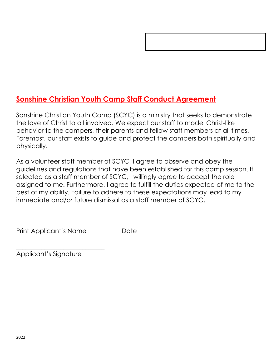## **Sonshine Christian Youth Camp Staff Conduct Agreement**

Sonshine Christian Youth Camp (SCYC) is a ministry that seeks to demonstrate the love of Christ to all involved. We expect our staff to model Christ-like behavior to the campers, their parents and fellow staff members at all times. Foremost, our staff exists to guide and protect the campers both spiritually and physically.

As a volunteer staff member of SCYC, I agree to observe and obey the guidelines and regulations that have been established for this camp session. If selected as a staff member of SCYC, I willingly agree to accept the role assigned to me. Furthermore, I agree to fulfill the duties expected of me to the best of my ability. Failure to adhere to these expectations may lead to my immediate and/or future dismissal as a staff member of SCYC.

Print Applicant's Name Date

 $\frac{1}{2}$  ,  $\frac{1}{2}$  ,  $\frac{1}{2}$  ,  $\frac{1}{2}$  ,  $\frac{1}{2}$  ,  $\frac{1}{2}$  ,  $\frac{1}{2}$  ,  $\frac{1}{2}$  ,  $\frac{1}{2}$  ,  $\frac{1}{2}$  ,  $\frac{1}{2}$  ,  $\frac{1}{2}$  ,  $\frac{1}{2}$  ,  $\frac{1}{2}$  ,  $\frac{1}{2}$  ,  $\frac{1}{2}$  ,  $\frac{1}{2}$  ,  $\frac{1}{2}$  ,  $\frac{1$ 

 $\overline{\phantom{a}}$  , and the contribution of the contribution of  $\overline{\phantom{a}}$  , and  $\overline{\phantom{a}}$  , and  $\overline{\phantom{a}}$  , and  $\overline{\phantom{a}}$  , and  $\overline{\phantom{a}}$  , and  $\overline{\phantom{a}}$  , and  $\overline{\phantom{a}}$  , and  $\overline{\phantom{a}}$  , and  $\overline{\phantom{a}}$  , and

Applicant's Signature